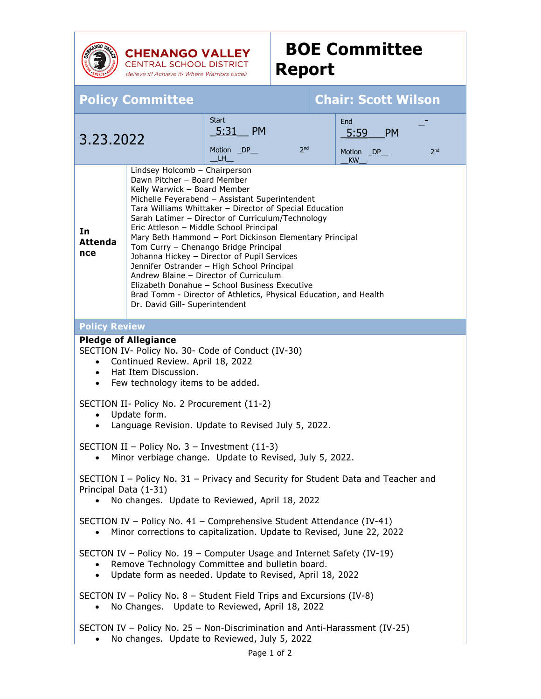

**CHENANGO VALLEY**<br>CENTRAL SCHOOL DISTRICT Believe it! Achieve it! Where Warriors Excel!

## **BOE Committee Report**

| <b>Policy Committee</b>                                                                                                                                                                                                                                                                                                                                                                                                                                                                                                                                                                                                                                                                                                                                  |  |                                                            |  | <b>Chair: Scott Wilson</b>                                 |
|----------------------------------------------------------------------------------------------------------------------------------------------------------------------------------------------------------------------------------------------------------------------------------------------------------------------------------------------------------------------------------------------------------------------------------------------------------------------------------------------------------------------------------------------------------------------------------------------------------------------------------------------------------------------------------------------------------------------------------------------------------|--|------------------------------------------------------------|--|------------------------------------------------------------|
| 3.23.2022                                                                                                                                                                                                                                                                                                                                                                                                                                                                                                                                                                                                                                                                                                                                                |  | Start<br>5:31 PM<br>2 <sub>nd</sub><br>Motion _DP__<br>LH. |  | End<br>5:59<br><b>PM</b><br>2 <sub>nd</sub><br>Motion _DP_ |
| <b>KW</b><br>Lindsey Holcomb - Chairperson<br>Dawn Pitcher - Board Member<br>Kelly Warwick - Board Member<br>Michelle Feyerabend - Assistant Superintendent<br>Tara Williams Whittaker - Director of Special Education<br>Sarah Latimer - Director of Curriculum/Technology<br>Eric Attleson - Middle School Principal<br>In<br>Mary Beth Hammond - Port Dickinson Elementary Principal<br><b>Attenda</b><br>Tom Curry - Chenango Bridge Principal<br>nce<br>Johanna Hickey - Director of Pupil Services<br>Jennifer Ostrander - High School Principal<br>Andrew Blaine - Director of Curriculum<br>Elizabeth Donahue - School Business Executive<br>Brad Tomm - Director of Athletics, Physical Education, and Health<br>Dr. David Gill- Superintendent |  |                                                            |  |                                                            |
| <b>Policy Review</b>                                                                                                                                                                                                                                                                                                                                                                                                                                                                                                                                                                                                                                                                                                                                     |  |                                                            |  |                                                            |
| <b>Pledge of Allegiance</b><br>SECTION IV- Policy No. 30- Code of Conduct (IV-30)<br>Continued Review. April 18, 2022<br>Hat Item Discussion.<br>$\bullet$<br>Few technology items to be added.<br>$\bullet$<br>SECTION II- Policy No. 2 Procurement (11-2)                                                                                                                                                                                                                                                                                                                                                                                                                                                                                              |  |                                                            |  |                                                            |
| Update form.<br>$\bullet$<br>Language Revision. Update to Revised July 5, 2022.<br>$\bullet$                                                                                                                                                                                                                                                                                                                                                                                                                                                                                                                                                                                                                                                             |  |                                                            |  |                                                            |
| SECTION II - Policy No. 3 - Investment (11-3)<br>Minor verbiage change. Update to Revised, July 5, 2022.                                                                                                                                                                                                                                                                                                                                                                                                                                                                                                                                                                                                                                                 |  |                                                            |  |                                                            |
| SECTION I - Policy No. 31 - Privacy and Security for Student Data and Teacher and<br>Principal Data (1-31)<br>No changes. Update to Reviewed, April 18, 2022                                                                                                                                                                                                                                                                                                                                                                                                                                                                                                                                                                                             |  |                                                            |  |                                                            |
| SECTION IV - Policy No. 41 - Comprehensive Student Attendance (IV-41)<br>Minor corrections to capitalization. Update to Revised, June 22, 2022                                                                                                                                                                                                                                                                                                                                                                                                                                                                                                                                                                                                           |  |                                                            |  |                                                            |
| SECTON IV - Policy No. 19 - Computer Usage and Internet Safety (IV-19)<br>Remove Technology Committee and bulletin board.<br>Update form as needed. Update to Revised, April 18, 2022<br>$\bullet$                                                                                                                                                                                                                                                                                                                                                                                                                                                                                                                                                       |  |                                                            |  |                                                            |
| SECTON IV – Policy No. $8$ – Student Field Trips and Excursions (IV-8)<br>No Changes. Update to Reviewed, April 18, 2022                                                                                                                                                                                                                                                                                                                                                                                                                                                                                                                                                                                                                                 |  |                                                            |  |                                                            |
| SECTON IV - Policy No. 25 - Non-Discrimination and Anti-Harassment (IV-25)<br>No changes. Update to Reviewed, July 5, 2022                                                                                                                                                                                                                                                                                                                                                                                                                                                                                                                                                                                                                               |  |                                                            |  |                                                            |